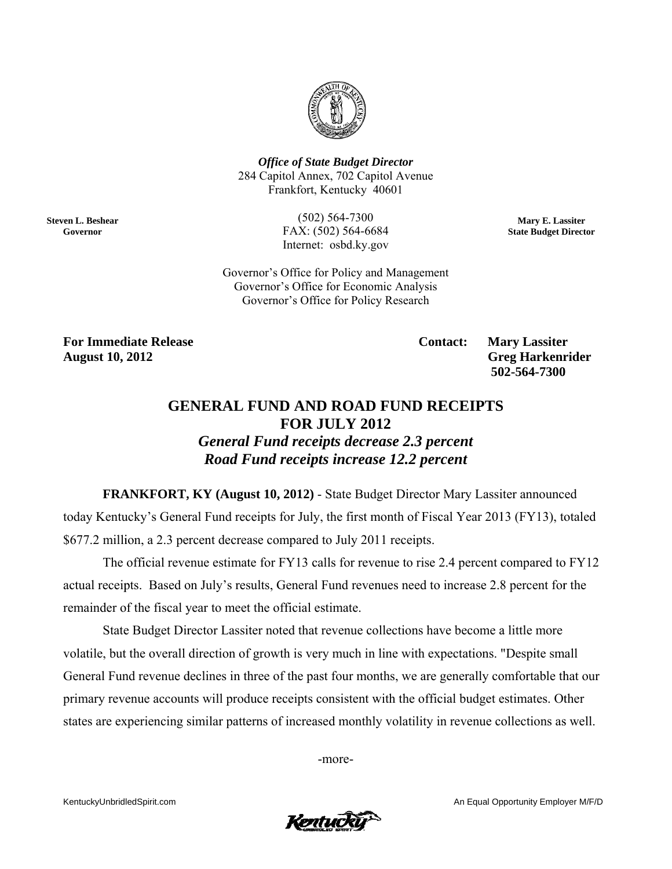

**Office of State Budget Director** 284 Capitol Annex, 702 Capitol Avenue Frankfort, Kentucky 40601

> $(502) 564 - 7300$ FAX: (502) 564-6684 Internet: osbd.ky.gov

Mary E. Lassiter **State Budget Director** 

Governor's Office for Policy and Management Governor's Office for Economic Analysis Governor's Office for Policy Research

**For Immediate Release August 10, 2012** 

**Steven L. Beshear** 

Governor

**Contact:** 

**Mary Lassiter Greg Harkenrider** 502-564-7300

## **GENERAL FUND AND ROAD FUND RECEIPTS FOR JULY 2012**

**General Fund receipts decrease 2.3 percent** Road Fund receipts increase 12.2 percent

**FRANKFORT, KY (August 10, 2012)** - State Budget Director Mary Lassiter announced today Kentucky's General Fund receipts for July, the first month of Fiscal Year 2013 (FY13), totaled \$677.2 million, a 2.3 percent decrease compared to July 2011 receipts.

The official revenue estimate for FY13 calls for revenue to rise 2.4 percent compared to FY12 actual receipts. Based on July's results, General Fund revenues need to increase 2.8 percent for the remainder of the fiscal year to meet the official estimate.

State Budget Director Lassiter noted that revenue collections have become a little more volatile, but the overall direction of growth is very much in line with expectations. "Despite small General Fund revenue declines in three of the past four months, we are generally comfortable that our primary revenue accounts will produce receipts consistent with the official budget estimates. Other states are experiencing similar patterns of increased monthly volatility in revenue collections as well.

-more-



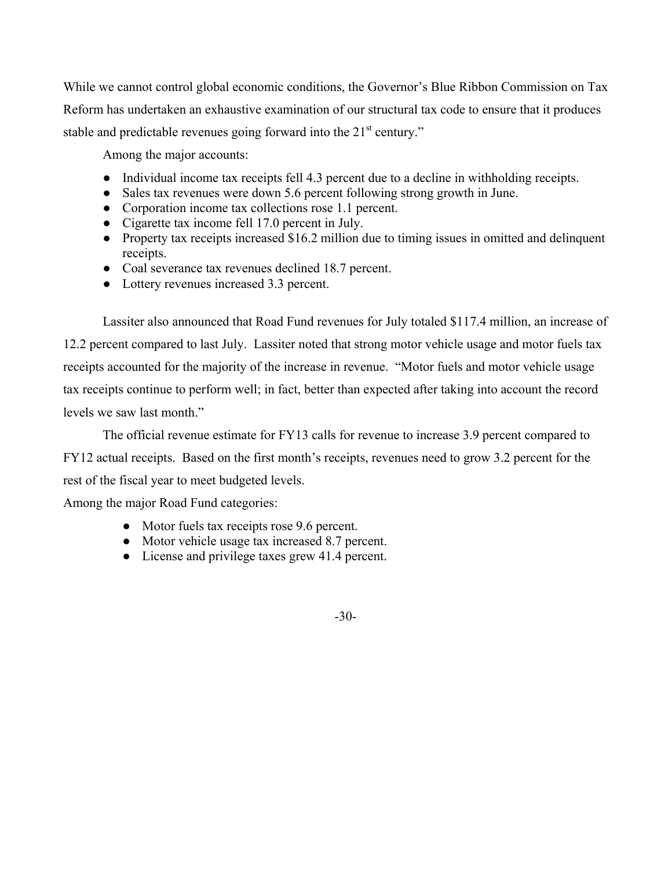While we cannot control global economic conditions, the Governor's Blue Ribbon Commission on Tax Reform has undertaken an exhaustive examination of our structural tax code to ensure that it produces stable and predictable revenues going forward into the  $21<sup>st</sup>$  century."

Among the major accounts:

- Individual income tax receipts fell 4.3 percent due to a decline in withholding receipts.
- Sales tax revenues were down 5.6 percent following strong growth in June.
- Corporation income tax collections rose 1.1 percent.
- Cigarette tax income fell 17.0 percent in July.
- Property tax receipts increased \$16.2 million due to timing issues in omitted and delinquent receipts.
- Coal severance tax revenues declined 18.7 percent.
- Lottery revenues increased 3.3 percent.

 Lassiter also announced that Road Fund revenues for July totaled \$117.4 million, an increase of 12.2 percent compared to last July. Lassiter noted that strong motor vehicle usage and motor fuels tax receipts accounted for the majority of the increase in revenue. "Motor fuels and motor vehicle usage tax receipts continue to perform well; in fact, better than expected after taking into account the record levels we saw last month."

The official revenue estimate for FY13 calls for revenue to increase 3.9 percent compared to

FY12 actual receipts. Based on the first month's receipts, revenues need to grow 3.2 percent for the rest of the fiscal year to meet budgeted levels.

Among the major Road Fund categories:

- Motor fuels tax receipts rose 9.6 percent.
- Motor vehicle usage tax increased 8.7 percent.
- License and privilege taxes grew 41.4 percent.

-30-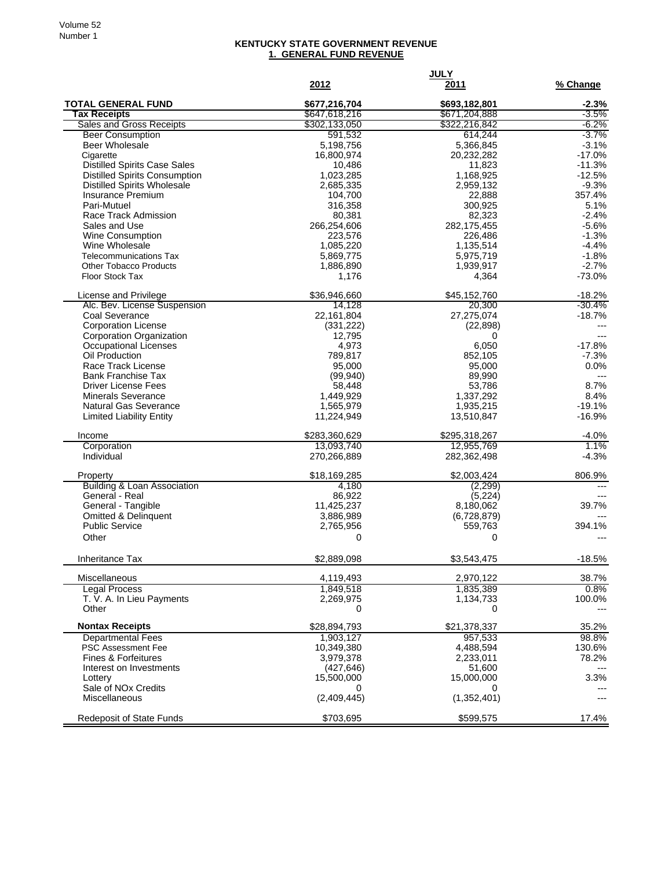## **KENTUCKY STATE GOVERNMENT REVENUE 1. GENERAL FUND REVENUE**

|                                                          | 2012                           | <b>JULY</b><br>2011            | % Change           |
|----------------------------------------------------------|--------------------------------|--------------------------------|--------------------|
|                                                          |                                |                                |                    |
| <b>TOTAL GENERAL FUND</b><br><b>Tax Receipts</b>         | \$677,216,704                  | \$693,182,801                  | $-2.3%$<br>$-3.5%$ |
| <b>Sales and Gross Receipts</b>                          | \$647,618,216<br>\$302,133,050 | \$671,204,888<br>\$322,216,842 | -6.2%              |
| <b>Beer Consumption</b>                                  | 591,532                        | 614,244                        | $-3.7%$            |
| Beer Wholesale                                           | 5,198,756                      | 5,366,845                      | $-3.1%$            |
| Cigarette                                                | 16,800,974                     | 20,232,282                     | $-17.0%$           |
| <b>Distilled Spirits Case Sales</b>                      | 10,486                         | 11,823                         | $-11.3%$           |
| <b>Distilled Spirits Consumption</b>                     | 1,023,285                      | 1,168,925                      | $-12.5%$           |
| <b>Distilled Spirits Wholesale</b><br>Insurance Premium  | 2,685,335<br>104,700           | 2,959,132<br>22,888            | $-9.3%$<br>357.4%  |
| Pari-Mutuel                                              | 316,358                        | 300,925                        | 5.1%               |
| Race Track Admission                                     | 80,381                         | 82,323                         | $-2.4%$            |
| Sales and Use                                            | 266,254,606                    | 282, 175, 455                  | $-5.6%$            |
| Wine Consumption                                         | 223,576                        | 226,486                        | $-1.3%$            |
| Wine Wholesale                                           | 1,085,220                      | 1,135,514                      | $-4.4%$            |
| <b>Telecommunications Tax</b>                            | 5,869,775                      | 5,975,719                      | $-1.8%$            |
| <b>Other Tobacco Products</b>                            | 1,886,890                      | 1,939,917                      | $-2.7%$            |
| <b>Floor Stock Tax</b>                                   | 1,176                          | 4,364                          | $-73.0%$           |
| License and Privilege                                    | \$36,946,660                   | \$45,152,760                   | $-18.2%$           |
| Alc. Bev. License Suspension                             | 14,128                         | 20,300                         | $-30.4%$           |
| Coal Severance                                           | 22,161,804                     | 27,275,074                     | $-18.7%$           |
| <b>Corporation License</b>                               | (331, 222)                     | (22, 898)                      |                    |
| Corporation Organization<br>Occupational Licenses        | 12,795<br>4,973                | 0<br>6,050                     | $---$<br>$-17.8%$  |
| Oil Production                                           | 789,817                        | 852,105                        | $-7.3%$            |
| Race Track License                                       | 95,000                         | 95,000                         | 0.0%               |
| <b>Bank Franchise Tax</b>                                | (99, 940)                      | 89,990                         | $\overline{a}$     |
| <b>Driver License Fees</b>                               | 58,448                         | 53,786                         | 8.7%               |
| <b>Minerals Severance</b>                                | 1,449,929                      | 1,337,292                      | 8.4%               |
| Natural Gas Severance                                    | 1,565,979                      | 1,935,215                      | $-19.1%$           |
| <b>Limited Liability Entity</b>                          | 11,224,949                     | 13,510,847                     | $-16.9%$           |
| Income                                                   | \$283,360,629                  | \$295,318,267                  | $-4.0%$            |
| Corporation                                              | 13,093,740                     | 12,955,769                     | 1.1%               |
| Individual                                               | 270,266,889                    | 282,362,498                    | $-4.3%$            |
| Property                                                 | \$18,169,285                   | \$2,003,424                    | 806.9%             |
| <b>Building &amp; Loan Association</b>                   | 4,180                          | (2, 299)                       | $---$              |
| General - Real                                           | 86,922                         | (5,224)                        |                    |
| General - Tangible                                       | 11,425,237                     | 8,180,062                      | 39.7%              |
| <b>Omitted &amp; Delinquent</b><br><b>Public Service</b> | 3,886,989                      | (6,728,879)                    | 394.1%             |
| Other                                                    | 2,765,956<br>0                 | 559,763<br>0                   |                    |
|                                                          |                                |                                |                    |
| Inheritance Tax                                          | \$2,889,098                    | \$3,543,475                    | $-18.5%$           |
| Miscellaneous                                            | 4,119,493                      | 2,970,122                      | 38.7%              |
| <b>Legal Process</b>                                     | 1,849,518                      | 1,835,389                      | 0.8%               |
| T. V. A. In Lieu Payments                                | 2,269,975                      | 1,134,733                      | 100.0%             |
| Other                                                    | 0                              | 0                              |                    |
| <b>Nontax Receipts</b>                                   | \$28,894,793                   | \$21,378,337                   | 35.2%              |
| <b>Departmental Fees</b>                                 | 1,903,127                      | 957,533                        | 98.8%              |
| <b>PSC Assessment Fee</b>                                | 10,349,380                     | 4,488,594                      | 130.6%             |
| <b>Fines &amp; Forfeitures</b>                           | 3,979,378                      | 2,233,011                      | 78.2%              |
| Interest on Investments<br>Lottery                       | (427, 646)<br>15,500,000       | 51,600<br>15,000,000           | 3.3%               |
| Sale of NO <sub>x</sub> Credits                          | 0                              | 0                              |                    |
| Miscellaneous                                            | (2,409,445)                    | (1,352,401)                    | $---$              |
| Redeposit of State Funds                                 | \$703,695                      | \$599,575                      | 17.4%              |